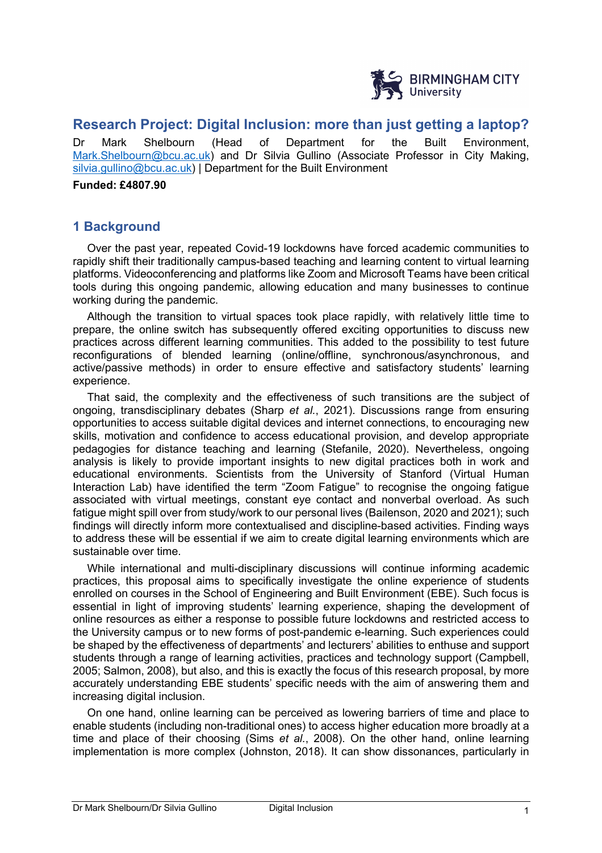

# **Research Project: Digital Inclusion: more than just getting a laptop?**

Dr Mark Shelbourn (Head of Department for the Built Environment, Mark.Shelbourn@bcu.ac.uk) and Dr Silvia Gullino (Associate Professor in City Making, silvia.gullino@bcu.ac.uk) | Department for the Built Environment

**Funded: £4807.90**

## **1 Background**

Over the past year, repeated Covid-19 lockdowns have forced academic communities to rapidly shift their traditionally campus-based teaching and learning content to virtual learning platforms. Videoconferencing and platforms like Zoom and Microsoft Teams have been critical tools during this ongoing pandemic, allowing education and many businesses to continue working during the pandemic.

Although the transition to virtual spaces took place rapidly, with relatively little time to prepare, the online switch has subsequently offered exciting opportunities to discuss new practices across different learning communities. This added to the possibility to test future reconfigurations of blended learning (online/offline, synchronous/asynchronous, and active/passive methods) in order to ensure effective and satisfactory students' learning experience.

That said, the complexity and the effectiveness of such transitions are the subject of ongoing, transdisciplinary debates (Sharp *et al.*, 2021). Discussions range from ensuring opportunities to access suitable digital devices and internet connections, to encouraging new skills, motivation and confidence to access educational provision, and develop appropriate pedagogies for distance teaching and learning (Stefanile, 2020). Nevertheless, ongoing analysis is likely to provide important insights to new digital practices both in work and educational environments. Scientists from the University of Stanford (Virtual Human Interaction Lab) have identified the term "Zoom Fatigue" to recognise the ongoing fatigue associated with virtual meetings, constant eye contact and nonverbal overload. As such fatigue might spill over from study/work to our personal lives (Bailenson, 2020 and 2021); such findings will directly inform more contextualised and discipline-based activities. Finding ways to address these will be essential if we aim to create digital learning environments which are sustainable over time.

While international and multi-disciplinary discussions will continue informing academic practices, this proposal aims to specifically investigate the online experience of students enrolled on courses in the School of Engineering and Built Environment (EBE). Such focus is essential in light of improving students' learning experience, shaping the development of online resources as either a response to possible future lockdowns and restricted access to the University campus or to new forms of post-pandemic e-learning. Such experiences could be shaped by the effectiveness of departments' and lecturers' abilities to enthuse and support students through a range of learning activities, practices and technology support (Campbell, 2005; Salmon, 2008), but also, and this is exactly the focus of this research proposal, by more accurately understanding EBE students' specific needs with the aim of answering them and increasing digital inclusion.

On one hand, online learning can be perceived as lowering barriers of time and place to enable students (including non-traditional ones) to access higher education more broadly at a time and place of their choosing (Sims *et al.*, 2008). On the other hand, online learning implementation is more complex (Johnston, 2018). It can show dissonances, particularly in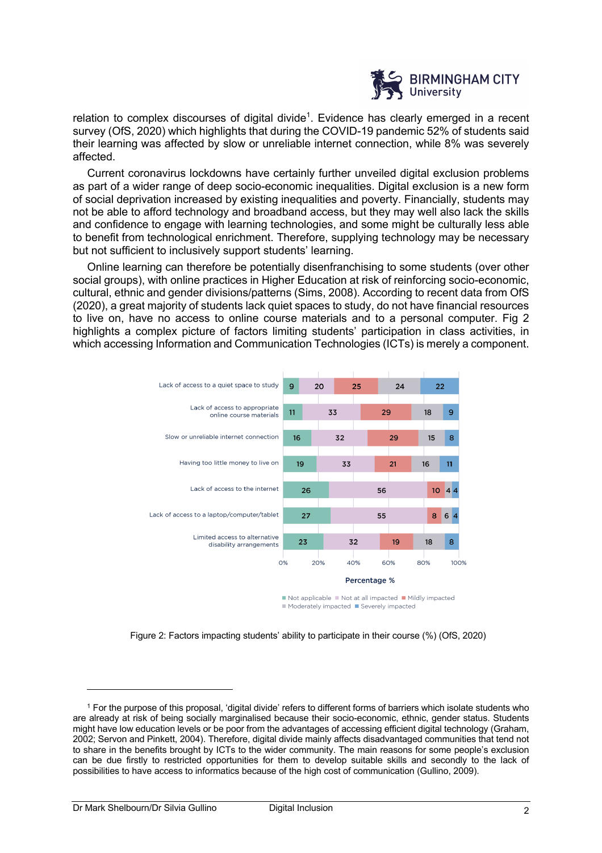

relation to complex discourses of digital divide<sup>1</sup>. Evidence has clearly emerged in a recent survey (OfS, 2020) which highlights that during the COVID-19 pandemic 52% of students said their learning was affected by slow or unreliable internet connection, while 8% was severely affected.

Current coronavirus lockdowns have certainly further unveiled digital exclusion problems as part of a wider range of deep socio-economic inequalities. Digital exclusion is a new form of social deprivation increased by existing inequalities and poverty. Financially, students may not be able to afford technology and broadband access, but they may well also lack the skills and confidence to engage with learning technologies, and some might be culturally less able to benefit from technological enrichment. Therefore, supplying technology may be necessary but not sufficient to inclusively support students' learning.

Online learning can therefore be potentially disenfranchising to some students (over other social groups), with online practices in Higher Education at risk of reinforcing socio-economic, cultural, ethnic and gender divisions/patterns (Sims, 2008). According to recent data from OfS (2020), a great majority of students lack quiet spaces to study, do not have financial resources to live on, have no access to online course materials and to a personal computer. Fig 2 highlights a complex picture of factors limiting students' participation in class activities, in which accessing Information and Communication Technologies (ICTs) is merely a component.



Not applicable Not at all impacted Mildly impacted Moderately impacted Severely impacted

Figure 2: Factors impacting students' ability to participate in their course (%) (OfS, 2020)

<sup>&</sup>lt;sup>1</sup> For the purpose of this proposal, 'digital divide' refers to different forms of barriers which isolate students who are already at risk of being socially marginalised because their socio-economic, ethnic, gender status. Students might have low education levels or be poor from the advantages of accessing efficient digital technology (Graham, 2002; Servon and Pinkett, 2004). Therefore, digital divide mainly affects disadvantaged communities that tend not to share in the benefits brought by ICTs to the wider community. The main reasons for some people's exclusion can be due firstly to restricted opportunities for them to develop suitable skills and secondly to the lack of possibilities to have access to informatics because of the high cost of communication (Gullino, 2009).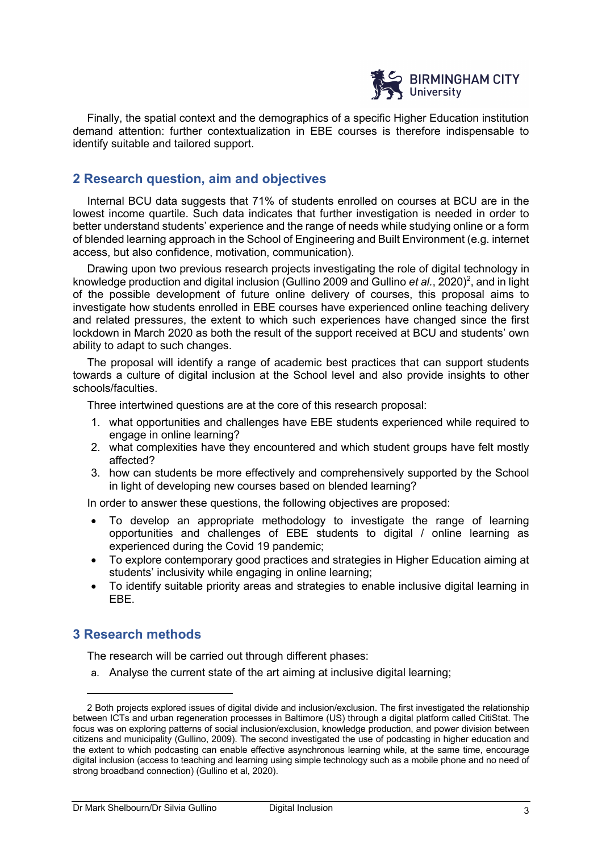

Finally, the spatial context and the demographics of a specific Higher Education institution demand attention: further contextualization in EBE courses is therefore indispensable to identify suitable and tailored support.

### **2 Research question, aim and objectives**

Internal BCU data suggests that 71% of students enrolled on courses at BCU are in the lowest income quartile. Such data indicates that further investigation is needed in order to better understand students' experience and the range of needs while studying online or a form of blended learning approach in the School of Engineering and Built Environment (e.g. internet access, but also confidence, motivation, communication).

Drawing upon two previous research projects investigating the role of digital technology in knowledge production and digital inclusion (Gullino 2009 and Gullino et al., 2020)<sup>2</sup>, and in light of the possible development of future online delivery of courses, this proposal aims to investigate how students enrolled in EBE courses have experienced online teaching delivery and related pressures, the extent to which such experiences have changed since the first lockdown in March 2020 as both the result of the support received at BCU and students' own ability to adapt to such changes.

The proposal will identify a range of academic best practices that can support students towards a culture of digital inclusion at the School level and also provide insights to other schools/faculties.

Three intertwined questions are at the core of this research proposal:

- 1. what opportunities and challenges have EBE students experienced while required to engage in online learning?
- 2. what complexities have they encountered and which student groups have felt mostly affected?
- 3. how can students be more effectively and comprehensively supported by the School in light of developing new courses based on blended learning?

In order to answer these questions, the following objectives are proposed:

- To develop an appropriate methodology to investigate the range of learning opportunities and challenges of EBE students to digital / online learning as experienced during the Covid 19 pandemic;
- To explore contemporary good practices and strategies in Higher Education aiming at students' inclusivity while engaging in online learning;
- To identify suitable priority areas and strategies to enable inclusive digital learning in EBE.

#### **3 Research methods**

The research will be carried out through different phases:

a. Analyse the current state of the art aiming at inclusive digital learning;

<sup>2</sup> Both projects explored issues of digital divide and inclusion/exclusion. The first investigated the relationship between ICTs and urban regeneration processes in Baltimore (US) through a digital platform called CitiStat. The focus was on exploring patterns of social inclusion/exclusion, knowledge production, and power division between citizens and municipality (Gullino, 2009). The second investigated the use of podcasting in higher education and the extent to which podcasting can enable effective asynchronous learning while, at the same time, encourage digital inclusion (access to teaching and learning using simple technology such as a mobile phone and no need of strong broadband connection) (Gullino et al, 2020).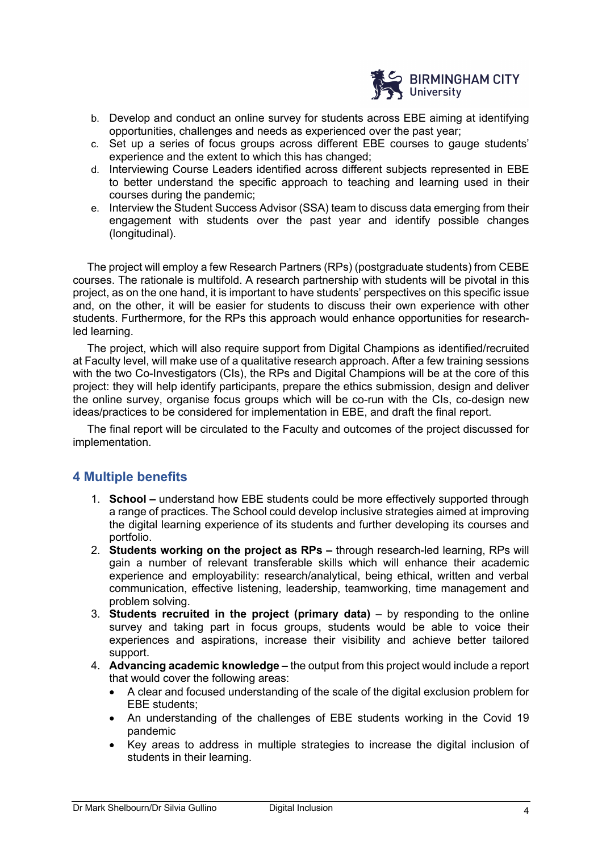

- b. Develop and conduct an online survey for students across EBE aiming at identifying opportunities, challenges and needs as experienced over the past year;
- c. Set up a series of focus groups across different EBE courses to gauge students' experience and the extent to which this has changed;
- d. Interviewing Course Leaders identified across different subjects represented in EBE to better understand the specific approach to teaching and learning used in their courses during the pandemic;
- e. Interview the Student Success Advisor (SSA) team to discuss data emerging from their engagement with students over the past year and identify possible changes (longitudinal).

The project will employ a few Research Partners (RPs) (postgraduate students) from CEBE courses. The rationale is multifold. A research partnership with students will be pivotal in this project, as on the one hand, it is important to have students' perspectives on this specific issue and, on the other, it will be easier for students to discuss their own experience with other students. Furthermore, for the RPs this approach would enhance opportunities for researchled learning.

The project, which will also require support from Digital Champions as identified/recruited at Faculty level, will make use of a qualitative research approach. After a few training sessions with the two Co-Investigators (CIs), the RPs and Digital Champions will be at the core of this project: they will help identify participants, prepare the ethics submission, design and deliver the online survey, organise focus groups which will be co-run with the CIs, co-design new ideas/practices to be considered for implementation in EBE, and draft the final report.

The final report will be circulated to the Faculty and outcomes of the project discussed for implementation.

#### **4 Multiple benefits**

- 1. **School –** understand how EBE students could be more effectively supported through a range of practices. The School could develop inclusive strategies aimed at improving the digital learning experience of its students and further developing its courses and portfolio.
- 2. **Students working on the project as RPs –** through research-led learning, RPs will gain a number of relevant transferable skills which will enhance their academic experience and employability: research/analytical, being ethical, written and verbal communication, effective listening, leadership, teamworking, time management and problem solving.
- 3. **Students recruited in the project (primary data)**  by responding to the online survey and taking part in focus groups, students would be able to voice their experiences and aspirations, increase their visibility and achieve better tailored support.
- 4. **Advancing academic knowledge –** the output from this project would include a report that would cover the following areas:
	- A clear and focused understanding of the scale of the digital exclusion problem for EBE students;
	- An understanding of the challenges of EBE students working in the Covid 19 pandemic
	- Key areas to address in multiple strategies to increase the digital inclusion of students in their learning.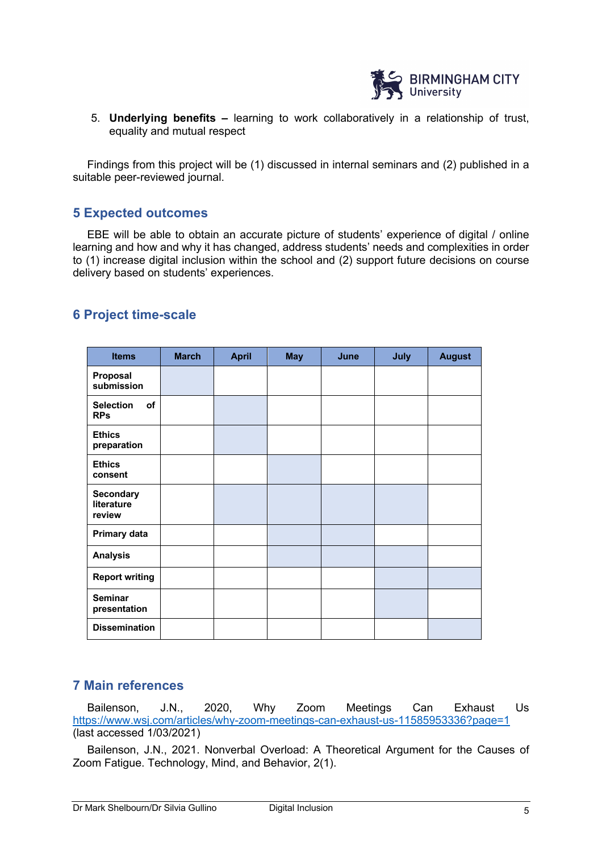

5. **Underlying benefits –** learning to work collaboratively in a relationship of trust, equality and mutual respect

Findings from this project will be (1) discussed in internal seminars and (2) published in a suitable peer-reviewed journal.

## **5 Expected outcomes**

EBE will be able to obtain an accurate picture of students' experience of digital / online learning and how and why it has changed, address students' needs and complexities in order to (1) increase digital inclusion within the school and (2) support future decisions on course delivery based on students' experiences.

| <b>Items</b>                             | <b>March</b> | <b>April</b> | <b>May</b> | June | July | <b>August</b> |
|------------------------------------------|--------------|--------------|------------|------|------|---------------|
| Proposal<br>submission                   |              |              |            |      |      |               |
| <b>Selection</b><br>of<br><b>RPs</b>     |              |              |            |      |      |               |
| <b>Ethics</b><br>preparation             |              |              |            |      |      |               |
| <b>Ethics</b><br>consent                 |              |              |            |      |      |               |
| <b>Secondary</b><br>literature<br>review |              |              |            |      |      |               |
| Primary data                             |              |              |            |      |      |               |
| <b>Analysis</b>                          |              |              |            |      |      |               |
| <b>Report writing</b>                    |              |              |            |      |      |               |
| <b>Seminar</b><br>presentation           |              |              |            |      |      |               |
| <b>Dissemination</b>                     |              |              |            |      |      |               |

## **6 Project time-scale**

## **7 Main references**

Bailenson, J.N., 2020, Why Zoom Meetings Can Exhaust Us https://www.wsj.com/articles/why-zoom-meetings-can-exhaust-us-11585953336?page=1 (last accessed 1/03/2021)

Bailenson, J.N., 2021. Nonverbal Overload: A Theoretical Argument for the Causes of Zoom Fatigue. Technology, Mind, and Behavior, 2(1).